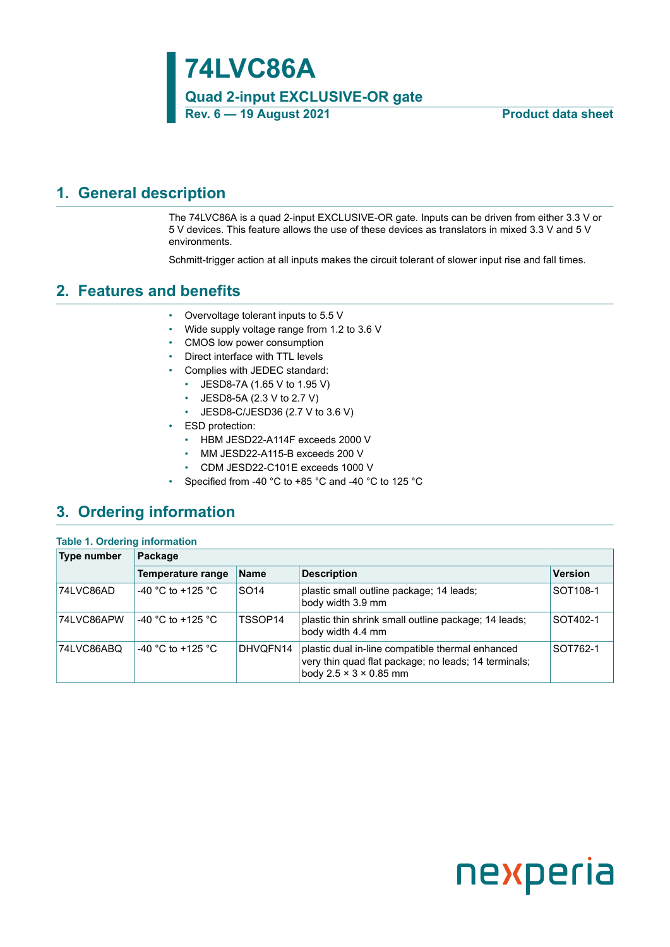**74LVC86A Quad 2-input EXCLUSIVE-OR gate Rev. 6 — 19 August 2021 Product data sheet**

### <span id="page-0-0"></span>**1. General description**

The 74LVC86A is a quad 2-input EXCLUSIVE-OR gate. Inputs can be driven from either 3.3 V or 5 V devices. This feature allows the use of these devices as translators in mixed 3.3 V and 5 V environments.

Schmitt-trigger action at all inputs makes the circuit tolerant of slower input rise and fall times.

### <span id="page-0-1"></span>**2. Features and benefits**

- Overvoltage tolerant inputs to 5.5 V
- Wide supply voltage range from 1.2 to 3.6 V
- CMOS low power consumption
- Direct interface with TTL levels
- Complies with JEDEC standard:
	- JESD8-7A (1.65 V to 1.95 V)
	- JESD8-5A (2.3 V to 2.7 V)
	- JESD8-C/JESD36 (2.7 V to 3.6 V)
- ESD protection:
	- HBM JESD22-A114F exceeds 2000 V
	- MM JESD22-A115-B exceeds 200 V
	- CDM JESD22-C101E exceeds 1000 V
- Specified from -40 °C to +85 °C and -40 °C to 125 °C

### <span id="page-0-2"></span>**3. Ordering information**

**Table 1. Ordering information**

| rable 1. Orderling information |                   |                  |                                                                                                                                                |                      |  |  |  |  |
|--------------------------------|-------------------|------------------|------------------------------------------------------------------------------------------------------------------------------------------------|----------------------|--|--|--|--|
| Type number                    | Package           |                  |                                                                                                                                                |                      |  |  |  |  |
|                                | Temperature range | <b>Name</b>      | <b>Description</b>                                                                                                                             | <b>Version</b>       |  |  |  |  |
| 74LVC86AD                      | -40 °C to +125 °C | SO <sub>14</sub> | plastic small outline package; 14 leads;<br>body width 3.9 mm                                                                                  | SOT <sub>108-1</sub> |  |  |  |  |
| 74LVC86APW                     | -40 °C to +125 °C | TSSOP14          | plastic thin shrink small outline package; 14 leads;<br>body width 4.4 mm                                                                      | SOT402-1             |  |  |  |  |
| 74LVC86ABQ                     | -40 °C to +125 °C | DHVQFN14         | plastic dual in-line compatible thermal enhanced<br>very thin quad flat package; no leads; 14 terminals;<br>body $2.5 \times 3 \times 0.85$ mm | SOT762-1             |  |  |  |  |

# nexperia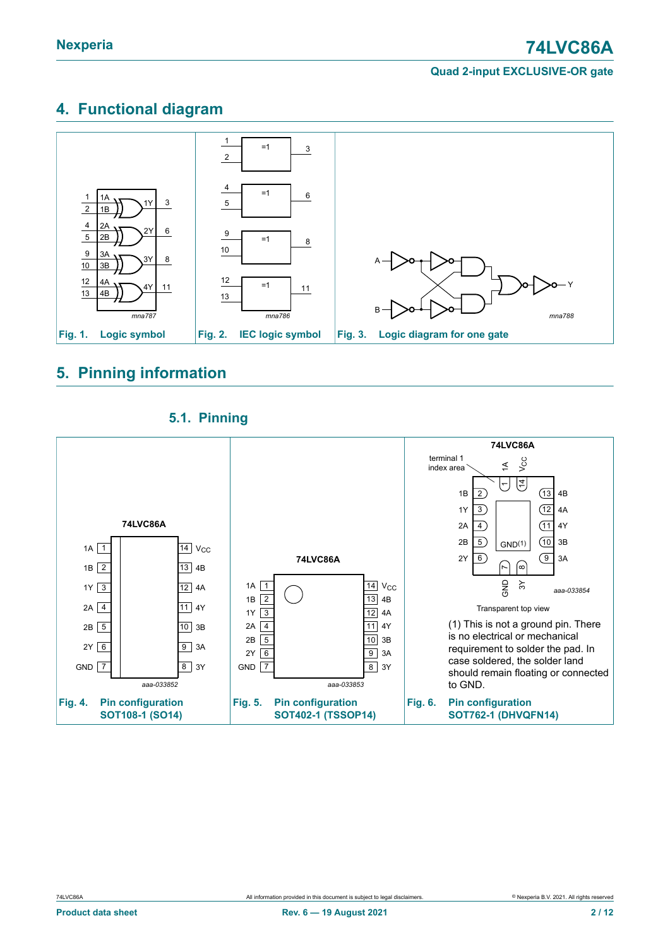### <span id="page-1-0"></span>**4. Functional diagram**



### <span id="page-1-1"></span>**5. Pinning information**

### <span id="page-1-2"></span>**5.1. Pinning**

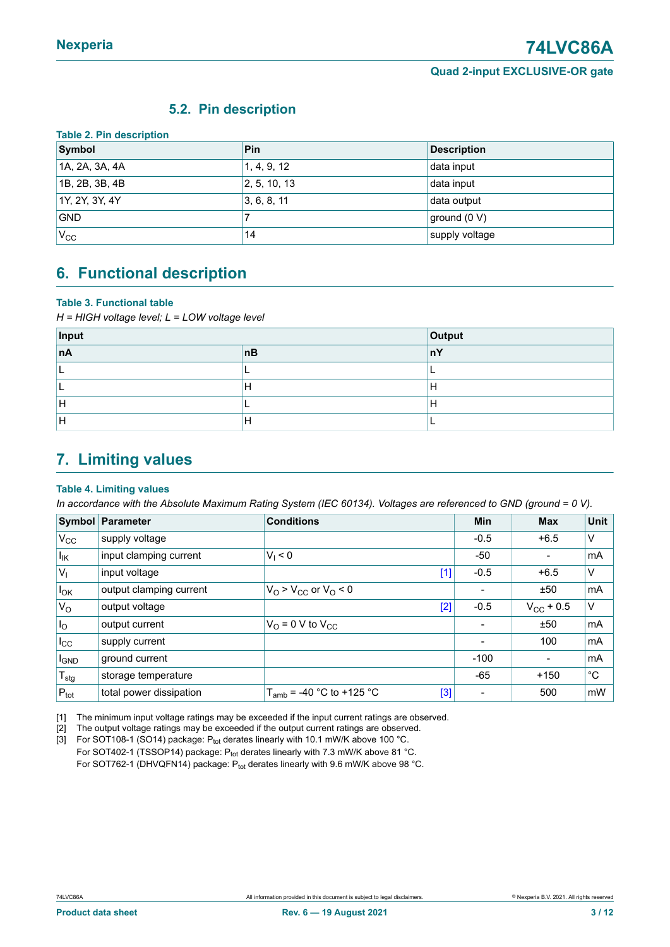### <span id="page-2-3"></span><span id="page-2-0"></span>**5.2. Pin description**

| Symbol         | <b>Pin</b>   | <b>Description</b> |
|----------------|--------------|--------------------|
| 1A, 2A, 3A, 4A | 1, 4, 9, 12  | data input         |
| 1B, 2B, 3B, 4B | 2, 5, 10, 13 | data input         |
| 1Y, 2Y, 3Y, 4Y | 3, 6, 8, 11  | data output        |
| <b>GND</b>     |              | ground (0 V)       |
| $V_{\rm CC}$   | 14           | supply voltage     |

### <span id="page-2-4"></span>**6. Functional description**

#### **Table 3. Functional table**

*H = HIGH voltage level; L = LOW voltage level*

| Input     | Output |    |
|-----------|--------|----|
| <b>nA</b> | nB     | nY |
|           |        |    |
|           |        | Н  |
| л         |        | н  |
| -         |        |    |

### <span id="page-2-1"></span>**7. Limiting values**

#### <span id="page-2-2"></span>**Table 4. Limiting values**

In accordance with the Absolute Maximum Rating System (IEC 60134). Voltages are referenced to GND (ground = 0 V).

|                   | Symbol Parameter        | <b>Conditions</b>                       | Min    | <b>Max</b>               | <b>Unit</b>  |
|-------------------|-------------------------|-----------------------------------------|--------|--------------------------|--------------|
| $V_{CC}$          | supply voltage          |                                         | $-0.5$ | $+6.5$                   | V            |
| $I_{\mathsf{IK}}$ | input clamping current  | $V_1 < 0$                               | -50    |                          | mA           |
| $ V_1 $           | input voltage           | $[1]$                                   | $-0.5$ | $+6.5$                   | V            |
| $I_{OK}$          | output clamping current | $VO > VCC$ or $VO < 0$                  |        | ±50                      | mA           |
| $V_{\rm O}$       | output voltage          | $[2]$                                   | $-0.5$ | $V_{\rm CC}$ + 0.5       | V            |
| I <sub>o</sub>    | output current          | $V_{\text{O}}$ = 0 V to $V_{\text{CC}}$ |        | ±50                      | mA           |
| $I_{\rm CC}$      | supply current          |                                         |        | 100                      | mA           |
| <b>I</b> GND      | ground current          |                                         | $-100$ | $\overline{\phantom{0}}$ | mA           |
| $T_{\text{stg}}$  | storage temperature     |                                         | $-65$  | $+150$                   | $^{\circ}$ C |
| $P_{\text{tot}}$  | total power dissipation | $T_{amb}$ = -40 °C to +125 °C<br>[3]    |        | 500                      | mW           |

[1] The minimum input voltage ratings may be exceeded if the input current ratings are observed.

[2] The output voltage ratings may be exceeded if the output current ratings are observed.<br>[3] For SOT108-1 (SO14) package:  $P_{\text{tot}}$  derates linearly with 10.1 mW/K above 100 °C.

For SOT108-1 (SO14) package:  $P_{tot}$  derates linearly with 10.1 mW/K above 100 °C. For SOT402-1 (TSSOP14) package: Ptot derates linearly with 7.3 mW/K above 81 °C. For SOT762-1 (DHVQFN14) package:  $P_{tot}$  derates linearly with 9.6 mW/K above 98 °C.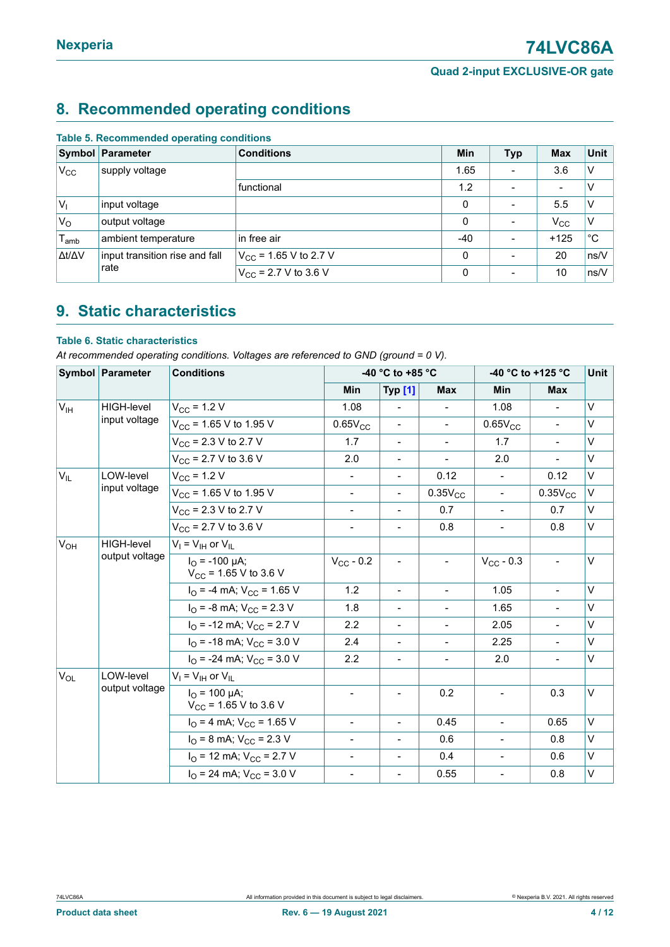### <span id="page-3-2"></span>**8. Recommended operating conditions**

|                     | <b>Symbol Parameter</b>        | <b>Conditions</b>                 | <b>Min</b>  | <b>Typ</b>               | <b>Max</b>               | Unit         |
|---------------------|--------------------------------|-----------------------------------|-------------|--------------------------|--------------------------|--------------|
| $V_{\rm CC}$        | supply voltage                 |                                   | 1.65        |                          | 3.6                      | V            |
|                     |                                | functional                        | 1.2         |                          | $\overline{\phantom{a}}$ | V            |
| V <sub>1</sub>      | input voltage                  |                                   | $\mathbf 0$ | $\equiv$                 | 5.5                      | v            |
| $V_{\rm O}$         | output voltage                 |                                   | $\Omega$    |                          | $V_{\rm CC}$             | $\vee$       |
| $T_{\mathsf{amb}}$  | ambient temperature            | in free air                       | $-40$       | $\blacksquare$           | $+125$                   | $^{\circ}$ C |
| $\Delta t/\Delta V$ | input transition rise and fall | $V_{\text{CC}}$ = 1.65 V to 2.7 V | $\Omega$    |                          | 20                       | ns/V         |
| rate                |                                | $V_{CC}$ = 2.7 V to 3.6 V         | $\Omega$    | $\overline{\phantom{a}}$ | 10                       | ns/V         |

#### <span id="page-3-0"></span>**Table 5. Recommended operating conditions**

### <span id="page-3-3"></span>**9. Static characteristics**

#### <span id="page-3-1"></span>**Table 6. Static characteristics**

*At recommended operating conditions. Voltages are referenced to GND (ground = 0 V).*

|                 | Symbol Parameter  | <b>Conditions</b>                                     | -40 °C to +85 °C         |                              |                          | -40 °C to +125 °C |                | Unit   |
|-----------------|-------------------|-------------------------------------------------------|--------------------------|------------------------------|--------------------------|-------------------|----------------|--------|
|                 |                   |                                                       | Min                      | Typ [1]                      | <b>Max</b>               | Min               | <b>Max</b>     |        |
| $V_{\text{IH}}$ | <b>HIGH-level</b> | $V_{CC}$ = 1.2 V                                      | 1.08                     |                              |                          | 1.08              |                | $\vee$ |
|                 | input voltage     | $V_{CC}$ = 1.65 V to 1.95 V                           | $0.65V_{CC}$             |                              | $\blacksquare$           | $0.65V_{CC}$      | $\blacksquare$ | $\vee$ |
|                 |                   | $V_{CC}$ = 2.3 V to 2.7 V                             | 1.7                      | $\overline{\phantom{a}}$     | $\blacksquare$           | 1.7               | $\blacksquare$ | V      |
|                 |                   | $V_{CC}$ = 2.7 V to 3.6 V                             | 2.0                      | Ξ.                           | $\blacksquare$           | 2.0               | $\blacksquare$ | $\vee$ |
| $V_{IL}$        | LOW-level         | $V_{CC}$ = 1.2 V                                      | $\overline{\phantom{a}}$ | $\overline{\phantom{0}}$     | 0.12                     | $\blacksquare$    | 0.12           | $\vee$ |
|                 | input voltage     | $V_{\text{CC}}$ = 1.65 V to 1.95 V                    |                          | Ξ.                           | $0.35V_{CC}$             |                   | $0.35V_{CC}$   | $\vee$ |
|                 |                   | $V_{CC}$ = 2.3 V to 2.7 V                             | $\overline{\phantom{a}}$ | Ξ.                           | 0.7                      |                   | 0.7            | V      |
|                 |                   | $V_{CC}$ = 2.7 V to 3.6 V                             | $\overline{\phantom{a}}$ | $\overline{\phantom{0}}$     | 0.8                      | $\blacksquare$    | 0.8            | V      |
| $V_{OH}$        | <b>HIGH-level</b> | $V_I = V_{IH}$ or $V_{II}$                            |                          |                              |                          |                   |                |        |
|                 | output voltage    | $I_{\Omega}$ = -100 µA;<br>$V_{CC}$ = 1.65 V to 3.6 V | $V_{CC}$ - 0.2           | $\overline{\phantom{a}}$     | $\overline{\phantom{a}}$ | $V_{CC}$ - 0.3    | $\frac{1}{2}$  | V      |
|                 |                   | $I_{\Omega}$ = -4 mA; $V_{\text{CC}}$ = 1.65 V        | 1.2                      | $\blacksquare$               | $\blacksquare$           | 1.05              | $\blacksquare$ | $\vee$ |
|                 |                   | $IO = -8$ mA; $VCC = 2.3$ V                           | 1.8                      |                              | $\overline{\phantom{0}}$ | 1.65              | $\blacksquare$ | $\vee$ |
|                 |                   | $IO$ = -12 mA; $VCC$ = 2.7 V                          | 2.2                      | $\frac{1}{2}$                | $\blacksquare$           | 2.05              | $\blacksquare$ | V      |
|                 |                   | $IO$ = -18 mA; $VCC$ = 3.0 V                          | 2.4                      | $\frac{1}{2}$                | $\blacksquare$           | 2.25              | $\blacksquare$ | $\vee$ |
|                 |                   | $I_{\Omega}$ = -24 mA; $V_{\text{CC}}$ = 3.0 V        | 2.2                      | $\qquad \qquad \blacksquare$ | $\overline{\phantom{a}}$ | 2.0               | $\blacksquare$ | $\vee$ |
| $V_{OL}$        | LOW-level         | $V_I = V_{IH}$ or $V_{IL}$                            |                          |                              |                          |                   |                |        |
|                 | output voltage    | $I_{\Omega}$ = 100 µA;<br>$V_{CC}$ = 1.65 V to 3.6 V  |                          |                              | 0.2                      |                   | 0.3            | $\vee$ |
|                 |                   | $I_{\text{O}}$ = 4 mA; $V_{\text{CC}}$ = 1.65 V       | $\blacksquare$           | $\blacksquare$               | 0.45                     | $\blacksquare$    | 0.65           | V      |
|                 |                   | $I_{\text{O}}$ = 8 mA; $V_{\text{CC}}$ = 2.3 V        | $\overline{\phantom{a}}$ | $\blacksquare$               | 0.6                      | $\blacksquare$    | 0.8            | V      |
|                 |                   | $IO$ = 12 mA; $VCC$ = 2.7 V                           | $\overline{\phantom{a}}$ | $\overline{\phantom{a}}$     | 0.4                      | $\blacksquare$    | 0.6            | V      |
|                 |                   | $I_{\Omega}$ = 24 mA; $V_{\text{CC}}$ = 3.0 V         | $\overline{\phantom{a}}$ | $\blacksquare$               | 0.55                     | $\blacksquare$    | 0.8            | V      |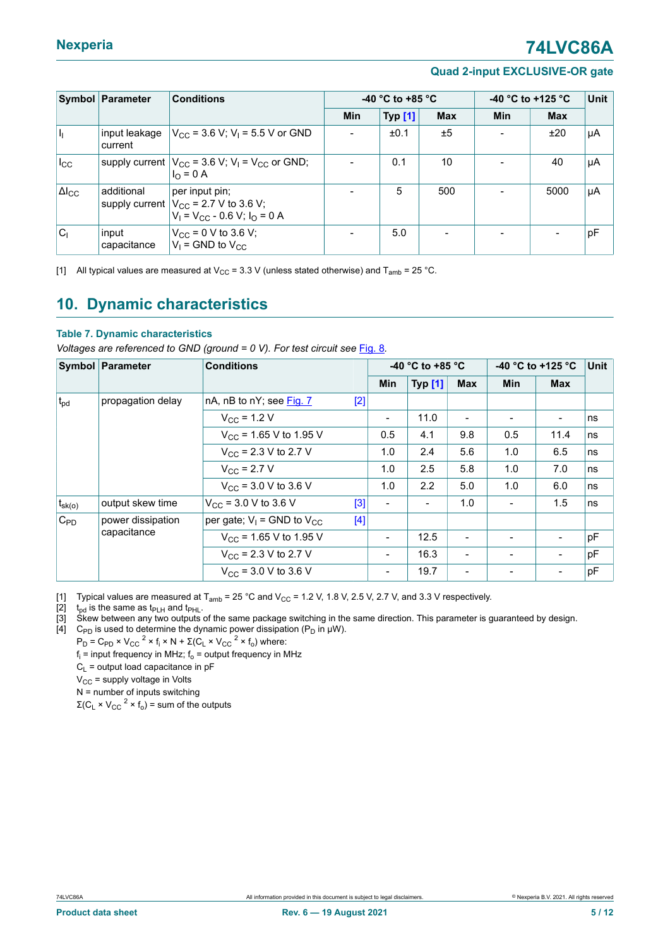### **Nexperia 74LVC86A**

#### **Quad 2-input EXCLUSIVE-OR gate**

<span id="page-4-0"></span>

|                 | Symbol Parameter         | <b>Conditions</b>                                                                                    | -40 $^{\circ}$ C to +85 $^{\circ}$ C |                |            | -40 °C to +125 °C | <b>Unit</b> |    |
|-----------------|--------------------------|------------------------------------------------------------------------------------------------------|--------------------------------------|----------------|------------|-------------------|-------------|----|
|                 |                          |                                                                                                      | <b>Min</b>                           | <b>Typ [1]</b> | <b>Max</b> | Min               | <b>Max</b>  |    |
| h               | input leakage<br>current | $ V_{CC}$ = 3.6 V; V <sub>I</sub> = 5.5 V or GND                                                     |                                      | ±0.1           | ±5         |                   | ±20         | µA |
| $I_{\rm CC}$    |                          | supply current $ V_{CC}$ = 3.6 V; V <sub>1</sub> = V <sub>CC</sub> or GND;<br>$I_0 = 0 A$            |                                      | 0.1            | 10         |                   | 40          | μA |
| $\Delta I_{CC}$ | additional               | per input pin;<br>supply current $ V_{CC}$ = 2.7 V to 3.6 V;<br>$V_1 = V_{CC} - 0.6 V$ ; $I_0 = 0 A$ |                                      | 5              | 500        |                   | 5000        | µA |
| $ C_1 $         | input<br>capacitance     | $V_{CC}$ = 0 V to 3.6 V;<br>$V_1$ = GND to $V_{CC}$                                                  |                                      | 5.0            |            |                   |             | pF |

[1] All typical values are measured at V<sub>CC</sub> = 3.3 V (unless stated otherwise) and T<sub>amb</sub> = 25 °C.

### <span id="page-4-2"></span>**10. Dynamic characteristics**

#### <span id="page-4-1"></span>**Table 7. Dynamic characteristics**

*Voltages are referenced to GND (ground = 0 V). For test circuit see* [Fig. 8](#page-5-0)*.*

|              | Symbol Parameter  | <b>Conditions</b>                          |                          | -40 °C to +85 °C |                          |            | -40 °C to +125 °C        |    |
|--------------|-------------------|--------------------------------------------|--------------------------|------------------|--------------------------|------------|--------------------------|----|
|              |                   |                                            | Min                      | <b>Typ [1]</b>   | <b>Max</b>               | <b>Min</b> | <b>Max</b>               |    |
| $t_{\rm pd}$ | propagation delay | nA, nB to nY; see Fig. 7<br>$[2]$          |                          |                  |                          |            |                          |    |
|              |                   | $V_{\rm CC}$ = 1.2 V                       | $\overline{\phantom{a}}$ | 11.0             | $\overline{\phantom{0}}$ | -          | $\overline{\phantom{a}}$ | ns |
|              |                   | $V_{\text{CC}}$ = 1.65 V to 1.95 V         | 0.5                      | 4.1              | 9.8                      | 0.5        | 11.4                     | ns |
|              |                   | $V_{\text{CC}}$ = 2.3 V to 2.7 V           | 1.0                      | 2.4              | 5.6                      | 1.0        | 6.5                      | ns |
|              |                   | $V_{\rm CC}$ = 2.7 V                       | 1.0                      | 2.5              | 5.8                      | 1.0        | 7.0                      | ns |
|              |                   | $V_{\text{CC}}$ = 3.0 V to 3.6 V           | 1.0                      | 2.2              | 5.0                      | 1.0        | 6.0                      | ns |
| $t_{sk(o)}$  | output skew time  | $V_{\text{CC}}$ = 3.0 V to 3.6 V<br>[3]    | $\overline{\phantom{a}}$ |                  | 1.0                      |            | 1.5                      | ns |
| $C_{PD}$     | power dissipation | per gate; $V_1$ = GND to $V_{CC}$<br>$[4]$ |                          |                  |                          |            |                          |    |
|              | capacitance       | $V_{CC}$ = 1.65 V to 1.95 V                | $\overline{\phantom{a}}$ | 12.5             |                          |            | $\overline{a}$           | pF |
|              |                   | $V_{\text{CC}}$ = 2.3 V to 2.7 V           | $\overline{\phantom{a}}$ | 16.3             |                          |            | $\overline{\phantom{a}}$ | pF |
|              |                   | $V_{CC}$ = 3.0 V to 3.6 V                  |                          | 19.7             |                          |            |                          | pF |

[1] Typical values are measured at T<sub>amb</sub> = 25 °C and V<sub>CC</sub> = 1.2 V, 1.8 V, 2.5 V, 2.7 V, and 3.3 V respectively.

[2]  $t_{pd}$  is the same as  $t_{PLH}$  and  $t_{PHL}$ .<br>[3] Skew between any two outputs

Skew between any two outputs of the same package switching in the same direction. This parameter is guaranteed by design.

[4]  $\;$  C<sub>PD</sub> is used to determine the dynamic power dissipation (P<sub>D</sub> in µW).

 $P_D = C_{PD} \times V_{CC}^2 \times f_i \times N + Σ(C_L \times V_{CC}^2 \times f_o)$  where:

 $\mathsf{f}_\mathsf{i}$  = input frequency in MHz;  $\mathsf{f}_\mathsf{o}$  = output frequency in MHz

 $C_L$  = output load capacitance in pF

 $V_{CC}$  = supply voltage in Volts

N = number of inputs switching

 $\Sigma$ (C<sub>L</sub> × V<sub>CC</sub><sup>2</sup> × f<sub>o</sub>) = sum of the outputs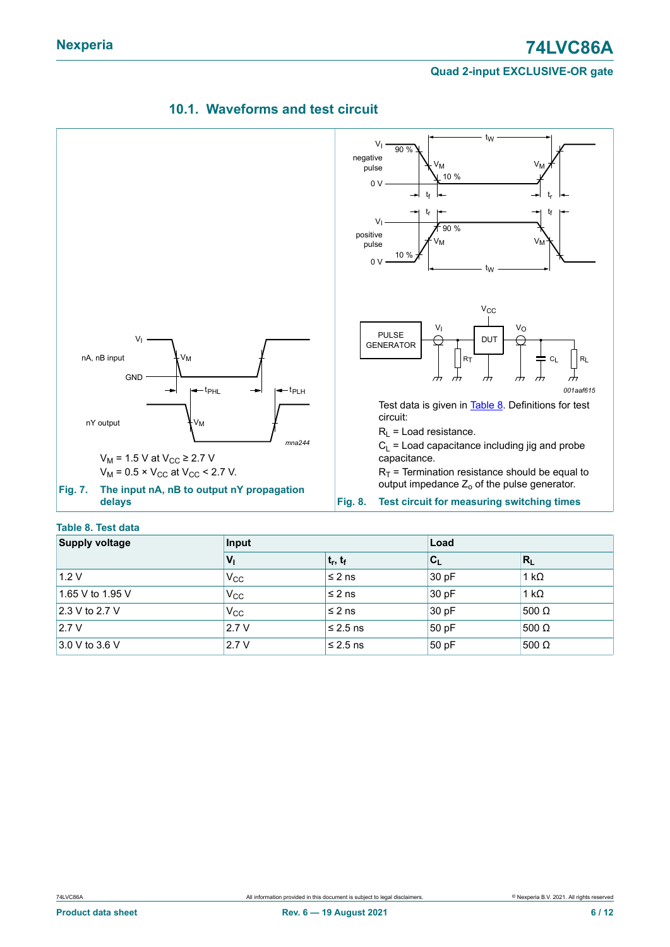

### <span id="page-5-3"></span><span id="page-5-0"></span>**10.1. Waveforms and test circuit**

#### <span id="page-5-2"></span><span id="page-5-1"></span>**Table 8. Test data**

| <b>Supply voltage</b> | Input        |               | Load                      |              |  |
|-----------------------|--------------|---------------|---------------------------|--------------|--|
|                       | $V_{1}$      | $ t_r, t_f $  | $\mathbf{c}_{\mathsf{L}}$ | $R_L$        |  |
| 1.2V                  | $V_{\rm CC}$ | $\leq 2$ ns   | 30 pF                     | $1 k\Omega$  |  |
| 1.65 V to 1.95 V      | $V_{\rm CC}$ | $\leq$ 2 ns   | 30 pF                     | $1 k\Omega$  |  |
| 2.3 V to 2.7 V        | $V_{\rm CC}$ | $\leq$ 2 ns   | 30 pF                     | 500 $\Omega$ |  |
| 2.7V                  | 2.7V         | $\leq 2.5$ ns | 50 pF                     | 500 $\Omega$ |  |
| $3.0 V$ to 3.6 V      | 2.7V         | $\leq 2.5$ ns | 50pF                      | $500 \Omega$ |  |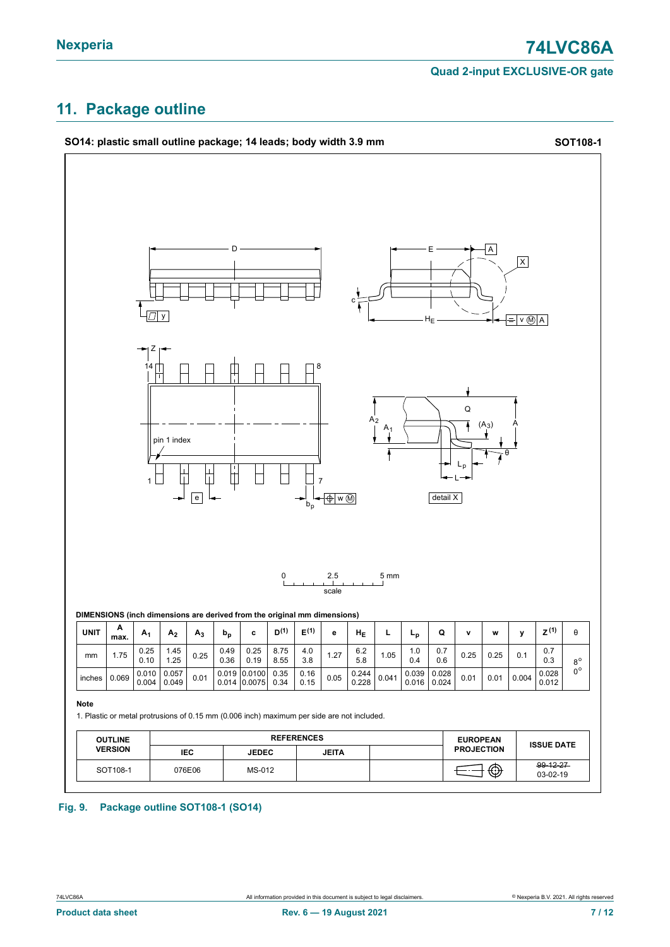### <span id="page-6-0"></span>**11. Package outline**



#### **Fig. 9. Package outline SOT108-1 (SO14)**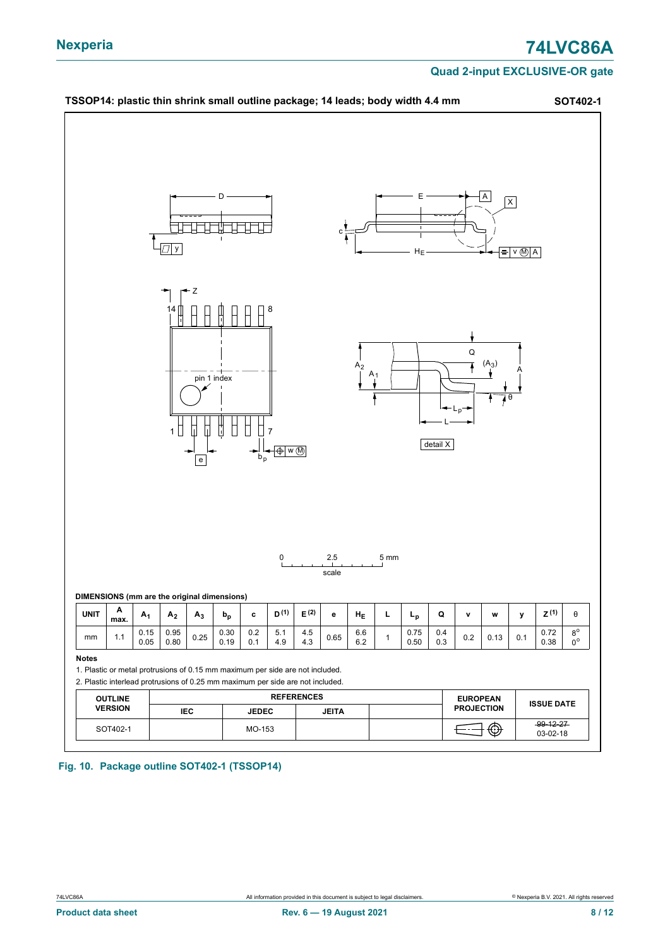

**Fig. 10. Package outline SOT402-1 (TSSOP14)**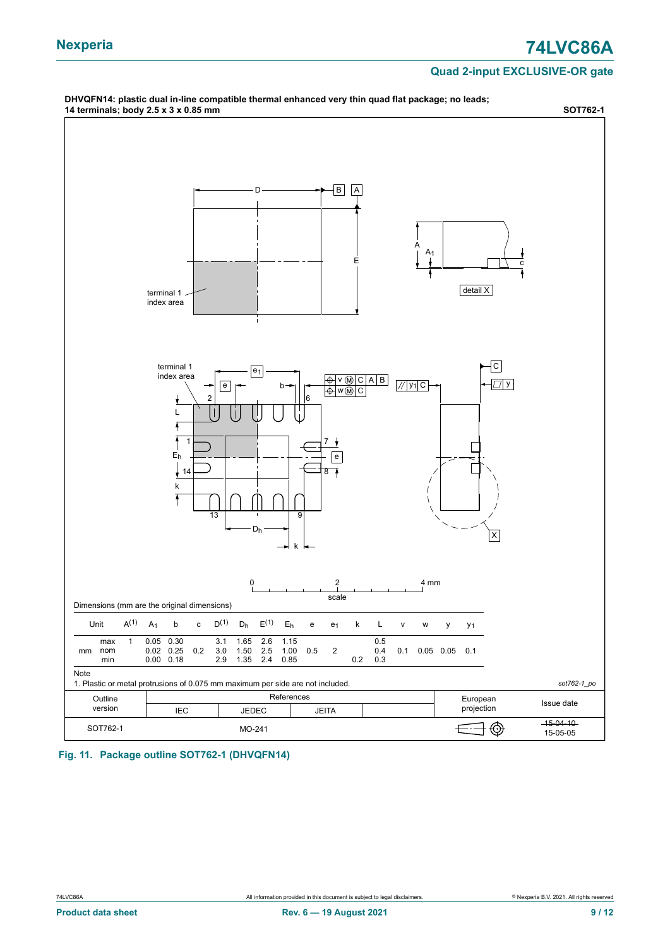### **Nexperia 74LVC86A**

#### **Quad 2-input EXCLUSIVE-OR gate**

<span id="page-8-0"></span>

**Fig. 11. Package outline SOT762-1 (DHVQFN14)**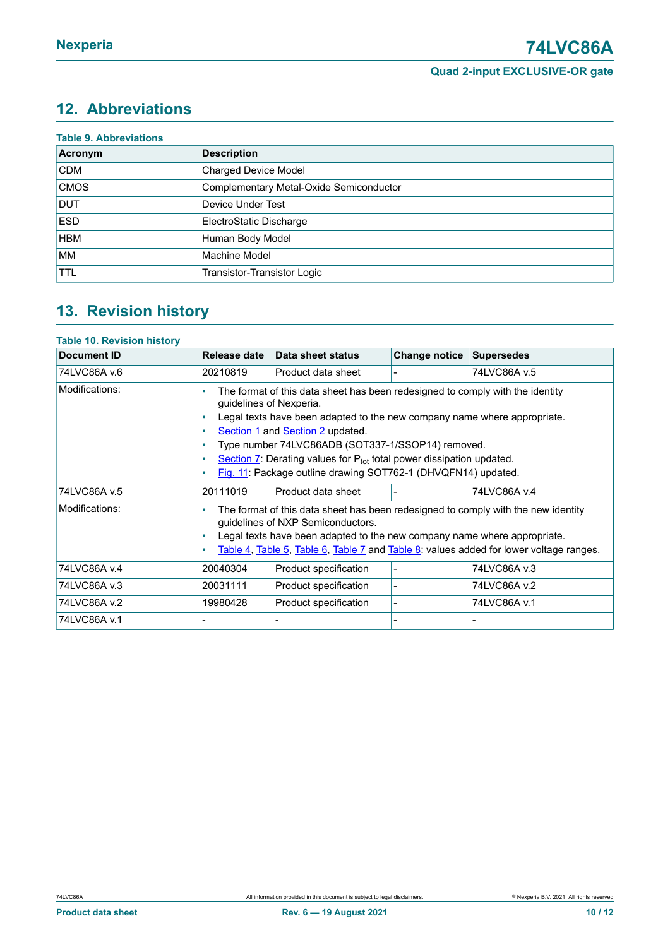### <span id="page-9-0"></span>**12. Abbreviations**

| <b>Table 9. Abbreviations</b> |                                         |
|-------------------------------|-----------------------------------------|
| Acronym                       | <b>Description</b>                      |
| <b>CDM</b>                    | <b>Charged Device Model</b>             |
| <b>CMOS</b>                   | Complementary Metal-Oxide Semiconductor |
| <b>DUT</b>                    | Device Under Test                       |
| <b>ESD</b>                    | ElectroStatic Discharge                 |
| <b>HBM</b>                    | Human Body Model                        |
| <b>MM</b>                     | <b>Machine Model</b>                    |
| <b>TTL</b>                    | Transistor-Transistor Logic             |

### <span id="page-9-1"></span>**13. Revision history**

#### **Table 10. Revision history**

| <b>Document ID</b> | Release date                                                                                                                                                                                                                                                                                                                                                                                                                   | Data sheet status     | <b>Change notice</b> | <b>Supersedes</b> |  |
|--------------------|--------------------------------------------------------------------------------------------------------------------------------------------------------------------------------------------------------------------------------------------------------------------------------------------------------------------------------------------------------------------------------------------------------------------------------|-----------------------|----------------------|-------------------|--|
| 74LVC86A v.6       | 20210819                                                                                                                                                                                                                                                                                                                                                                                                                       | Product data sheet    |                      | 74LVC86A v.5      |  |
| Modifications:     | The format of this data sheet has been redesigned to comply with the identity<br>guidelines of Nexperia.<br>Legal texts have been adapted to the new company name where appropriate.<br>Section 1 and Section 2 updated.<br>Type number 74LVC86ADB (SOT337-1/SSOP14) removed.<br>Section $7$ : Derating values for $P_{tot}$ total power dissipation updated.<br>Fig. 11: Package outline drawing SOT762-1 (DHVQFN14) updated. |                       |                      |                   |  |
| 74LVC86A v.5       | 20111019                                                                                                                                                                                                                                                                                                                                                                                                                       | Product data sheet    |                      | 74LVC86A v.4      |  |
| Modifications:     | The format of this data sheet has been redesigned to comply with the new identity<br>guidelines of NXP Semiconductors.<br>Legal texts have been adapted to the new company name where appropriate.<br>Table 4, Table 5, Table 6, Table 7 and Table 8: values added for lower voltage ranges.                                                                                                                                   |                       |                      |                   |  |
| 74LVC86A v.4       | 20040304                                                                                                                                                                                                                                                                                                                                                                                                                       | Product specification |                      | 74LVC86A v.3      |  |
| 74LVC86A v.3       | 20031111                                                                                                                                                                                                                                                                                                                                                                                                                       | Product specification |                      | 74LVC86A v.2      |  |
| 74LVC86A v.2       | 19980428                                                                                                                                                                                                                                                                                                                                                                                                                       | Product specification |                      | 74LVC86A v.1      |  |
| 74LVC86A v.1       |                                                                                                                                                                                                                                                                                                                                                                                                                                |                       |                      |                   |  |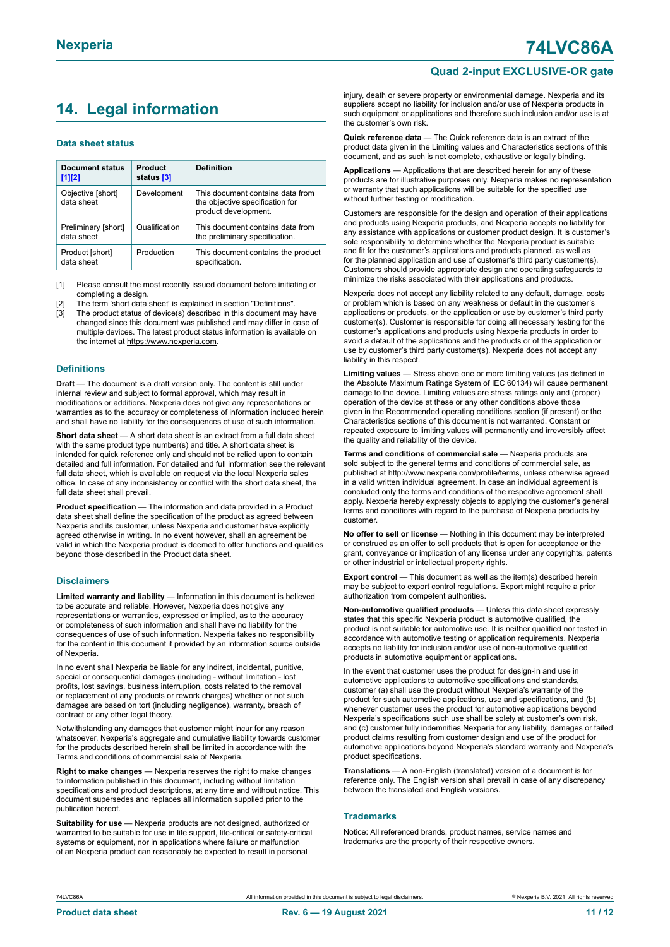### <span id="page-10-0"></span>**14. Legal information**

#### **Data sheet status**

| <b>Document status</b><br>$[1]$ [2] | Product<br>status [3] | <b>Definition</b>                                                                           |
|-------------------------------------|-----------------------|---------------------------------------------------------------------------------------------|
| Objective [short]<br>data sheet     | Development           | This document contains data from<br>the objective specification for<br>product development. |
| Preliminary [short]<br>data sheet   | Qualification         | This document contains data from<br>the preliminary specification.                          |
| Product [short]<br>data sheet       | Production            | This document contains the product<br>specification.                                        |

[1] Please consult the most recently issued document before initiating or completing a design.

- The term 'short data sheet' is explained in section "Definitions".
- [3] The product status of device(s) described in this document may have changed since this document was published and may differ in case of multiple devices. The latest product status information is available on the internet at [https://www.nexperia.com.](https://www.nexperia.com)

#### **Definitions**

**Draft** — The document is a draft version only. The content is still under internal review and subject to formal approval, which may result in modifications or additions. Nexperia does not give any representations or warranties as to the accuracy or completeness of information included herein and shall have no liability for the consequences of use of such information.

**Short data sheet** — A short data sheet is an extract from a full data sheet with the same product type number(s) and title. A short data sheet is intended for quick reference only and should not be relied upon to contain detailed and full information. For detailed and full information see the relevant full data sheet, which is available on request via the local Nexperia sales office. In case of any inconsistency or conflict with the short data sheet, the full data sheet shall prevail.

**Product specification** — The information and data provided in a Product data sheet shall define the specification of the product as agreed between Nexperia and its customer, unless Nexperia and customer have explicitly agreed otherwise in writing. In no event however, shall an agreement be valid in which the Nexperia product is deemed to offer functions and qualities beyond those described in the Product data sheet.

#### **Disclaimers**

**Limited warranty and liability** — Information in this document is believed to be accurate and reliable. However, Nexperia does not give any representations or warranties, expressed or implied, as to the accuracy or completeness of such information and shall have no liability for the consequences of use of such information. Nexperia takes no responsibility for the content in this document if provided by an information source outside of Nexperia.

In no event shall Nexperia be liable for any indirect, incidental, punitive, special or consequential damages (including - without limitation - lost profits, lost savings, business interruption, costs related to the removal or replacement of any products or rework charges) whether or not such damages are based on tort (including negligence), warranty, breach of contract or any other legal theory.

Notwithstanding any damages that customer might incur for any reason whatsoever, Nexperia's aggregate and cumulative liability towards customer for the products described herein shall be limited in accordance with the Terms and conditions of commercial sale of Nexperia.

**Right to make changes** — Nexperia reserves the right to make changes to information published in this document, including without limitation specifications and product descriptions, at any time and without notice. This document supersedes and replaces all information supplied prior to the publication hereof.

**Suitability for use** — Nexperia products are not designed, authorized or warranted to be suitable for use in life support, life-critical or safety-critical systems or equipment, nor in applications where failure or malfunction of an Nexperia product can reasonably be expected to result in personal

**Quad 2-input EXCLUSIVE-OR gate**

injury, death or severe property or environmental damage. Nexperia and its suppliers accept no liability for inclusion and/or use of Nexperia products in such equipment or applications and therefore such inclusion and/or use is at the customer's own risk.

**Quick reference data** — The Quick reference data is an extract of the product data given in the Limiting values and Characteristics sections of this document, and as such is not complete, exhaustive or legally binding.

**Applications** — Applications that are described herein for any of these products are for illustrative purposes only. Nexperia makes no representation or warranty that such applications will be suitable for the specified use without further testing or modification.

Customers are responsible for the design and operation of their applications and products using Nexperia products, and Nexperia accepts no liability for any assistance with applications or customer product design. It is customer's sole responsibility to determine whether the Nexperia product is suitable and fit for the customer's applications and products planned, as well as for the planned application and use of customer's third party customer(s). Customers should provide appropriate design and operating safeguards to minimize the risks associated with their applications and products.

Nexperia does not accept any liability related to any default, damage, costs or problem which is based on any weakness or default in the customer's applications or products, or the application or use by customer's third party customer(s). Customer is responsible for doing all necessary testing for the customer's applications and products using Nexperia products in order to avoid a default of the applications and the products or of the application or use by customer's third party customer(s). Nexperia does not accept any liability in this respect.

**Limiting values** — Stress above one or more limiting values (as defined in the Absolute Maximum Ratings System of IEC 60134) will cause permanent damage to the device. Limiting values are stress ratings only and (proper) operation of the device at these or any other conditions above those given in the Recommended operating conditions section (if present) or the Characteristics sections of this document is not warranted. Constant or repeated exposure to limiting values will permanently and irreversibly affect the quality and reliability of the device.

**Terms and conditions of commercial sale** — Nexperia products are sold subject to the general terms and conditions of commercial sale, as published at [http://www.nexperia.com/profile/terms,](http://www.nexperia.com/profile/terms) unless otherwise agreed in a valid written individual agreement. In case an individual agreement is concluded only the terms and conditions of the respective agreement shall apply. Nexperia hereby expressly objects to applying the customer's general terms and conditions with regard to the purchase of Nexperia products by customer.

**No offer to sell or license** — Nothing in this document may be interpreted or construed as an offer to sell products that is open for acceptance or the grant, conveyance or implication of any license under any copyrights, patents or other industrial or intellectual property rights.

**Export control** — This document as well as the item(s) described herein may be subject to export control regulations. Export might require a prior authorization from competent authorities.

**Non-automotive qualified products** — Unless this data sheet expressly states that this specific Nexperia product is automotive qualified, the product is not suitable for automotive use. It is neither qualified nor tested in accordance with automotive testing or application requirements. Nexperia accepts no liability for inclusion and/or use of non-automotive qualified products in automotive equipment or applications.

In the event that customer uses the product for design-in and use in automotive applications to automotive specifications and standards, customer (a) shall use the product without Nexperia's warranty of the product for such automotive applications, use and specifications, and (b) whenever customer uses the product for automotive applications beyond Nexperia's specifications such use shall be solely at customer's own risk, and (c) customer fully indemnifies Nexperia for any liability, damages or failed product claims resulting from customer design and use of the product for automotive applications beyond Nexperia's standard warranty and Nexperia's product specifications.

**Translations** — A non-English (translated) version of a document is for reference only. The English version shall prevail in case of any discrepancy between the translated and English versions.

#### **Trademarks**

Notice: All referenced brands, product names, service names and trademarks are the property of their respective owners.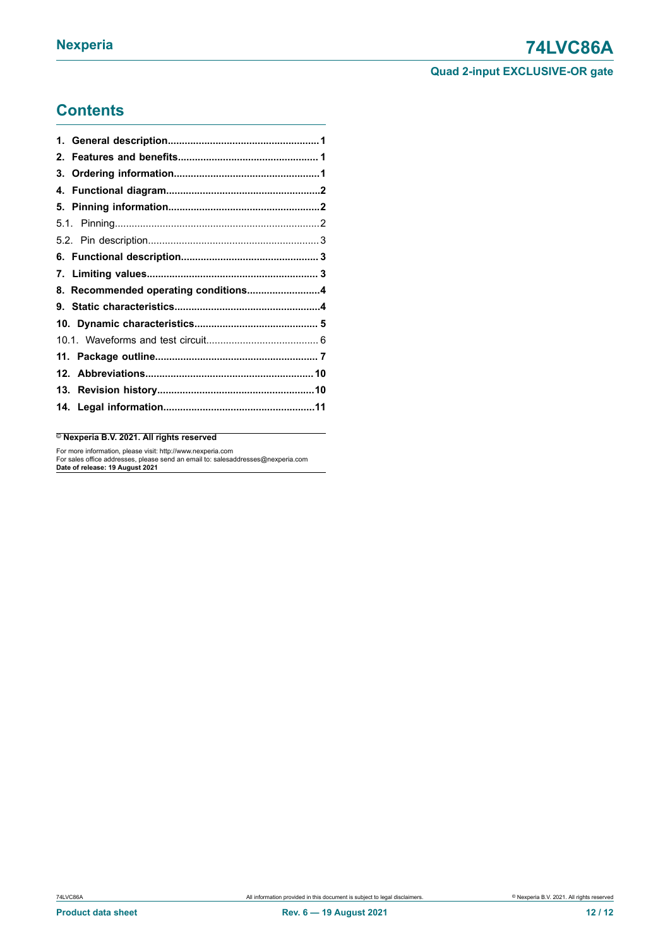### **Contents**

| 8. Recommended operating conditions4 |  |
|--------------------------------------|--|
|                                      |  |
|                                      |  |
|                                      |  |
|                                      |  |
|                                      |  |
|                                      |  |
|                                      |  |
|                                      |  |

#### © **Nexperia B.V. 2021. All rights reserved**

For more information, please visit: http://www.nexperia.com For sales office addresses, please send an email to: salesaddresses@nexperia.com **Date of release: 19 August 2021**